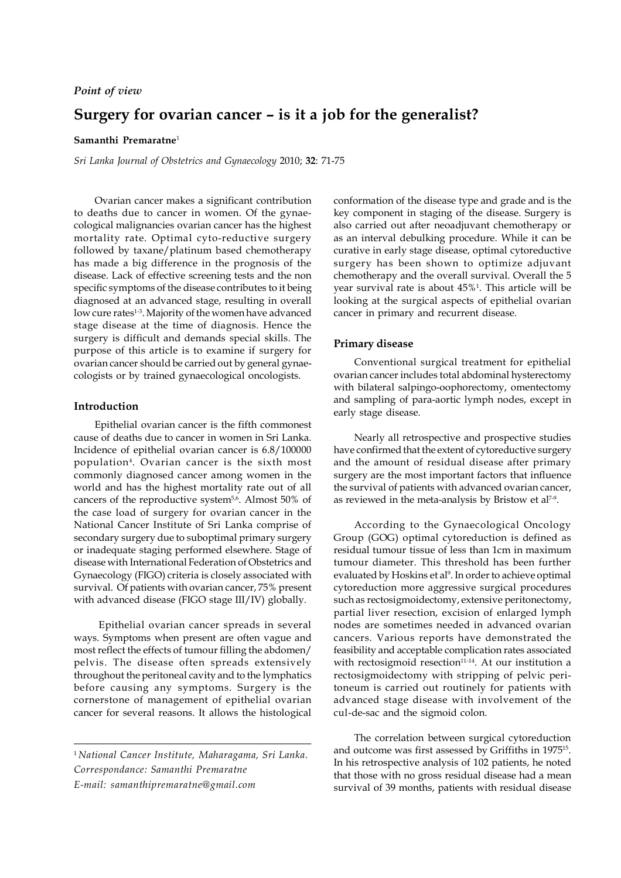### *Point of view*

# **Surgery for ovarian cancer – is it a job for the generalist?**

#### **Samanthi Premaratne**<sup>1</sup>

*Sri Lanka Journal of Obstetrics and Gynaecology* 2010; **32**: 71-75

Ovarian cancer makes a significant contribution to deaths due to cancer in women. Of the gynaecological malignancies ovarian cancer has the highest mortality rate. Optimal cyto-reductive surgery followed by taxane/platinum based chemotherapy has made a big difference in the prognosis of the disease. Lack of effective screening tests and the non specific symptoms of the disease contributes to it being diagnosed at an advanced stage, resulting in overall low cure rates<sup>1-3</sup>. Majority of the women have advanced stage disease at the time of diagnosis. Hence the surgery is difficult and demands special skills. The purpose of this article is to examine if surgery for ovarian cancer should be carried out by general gynaecologists or by trained gynaecological oncologists.

#### **Introduction**

Epithelial ovarian cancer is the fifth commonest cause of deaths due to cancer in women in Sri Lanka. Incidence of epithelial ovarian cancer is 6.8/100000 population<sup>4</sup> . Ovarian cancer is the sixth most commonly diagnosed cancer among women in the world and has the highest mortality rate out of all cancers of the reproductive system<sup>5,6</sup>. Almost 50% of the case load of surgery for ovarian cancer in the National Cancer Institute of Sri Lanka comprise of secondary surgery due to suboptimal primary surgery or inadequate staging performed elsewhere. Stage of disease with International Federation of Obstetrics and Gynaecology (FIGO) criteria is closely associated with survival. Of patients with ovarian cancer, 75% present with advanced disease (FIGO stage III/IV) globally.

 Epithelial ovarian cancer spreads in several ways. Symptoms when present are often vague and most reflect the effects of tumour filling the abdomen/ pelvis. The disease often spreads extensively throughout the peritoneal cavity and to the lymphatics before causing any symptoms. Surgery is the cornerstone of management of epithelial ovarian cancer for several reasons. It allows the histological

<sup>1</sup> *National Cancer Institute, Maharagama, Sri Lanka. Correspondance: Samanthi Premaratne E-mail: samanthipremaratne@gmail.com*

conformation of the disease type and grade and is the key component in staging of the disease. Surgery is also carried out after neoadjuvant chemotherapy or as an interval debulking procedure. While it can be curative in early stage disease, optimal cytoreductive surgery has been shown to optimize adjuvant chemotherapy and the overall survival. Overall the 5 year survival rate is about 45%<sup>1</sup> . This article will be looking at the surgical aspects of epithelial ovarian cancer in primary and recurrent disease.

#### **Primary disease**

Conventional surgical treatment for epithelial ovarian cancer includes total abdominal hysterectomy with bilateral salpingo-oophorectomy, omentectomy and sampling of para-aortic lymph nodes, except in early stage disease.

Nearly all retrospective and prospective studies have confirmed that the extent of cytoreductive surgery and the amount of residual disease after primary surgery are the most important factors that influence the survival of patients with advanced ovarian cancer, as reviewed in the meta-analysis by Bristow et al<sup>7-9</sup>.

According to the Gynaecological Oncology Group (GOG) optimal cytoreduction is defined as residual tumour tissue of less than 1cm in maximum tumour diameter. This threshold has been further evaluated by Hoskins et al<sup>9</sup>. In order to achieve optimal cytoreduction more aggressive surgical procedures such as rectosigmoidectomy, extensive peritonectomy, partial liver resection, excision of enlarged lymph nodes are sometimes needed in advanced ovarian cancers. Various reports have demonstrated the feasibility and acceptable complication rates associated with rectosigmoid resection<sup>11-14</sup>. At our institution a rectosigmoidectomy with stripping of pelvic peritoneum is carried out routinely for patients with advanced stage disease with involvement of the cul-de-sac and the sigmoid colon.

The correlation between surgical cytoreduction and outcome was first assessed by Griffiths in 1975<sup>15</sup> . In his retrospective analysis of 102 patients, he noted that those with no gross residual disease had a mean survival of 39 months, patients with residual disease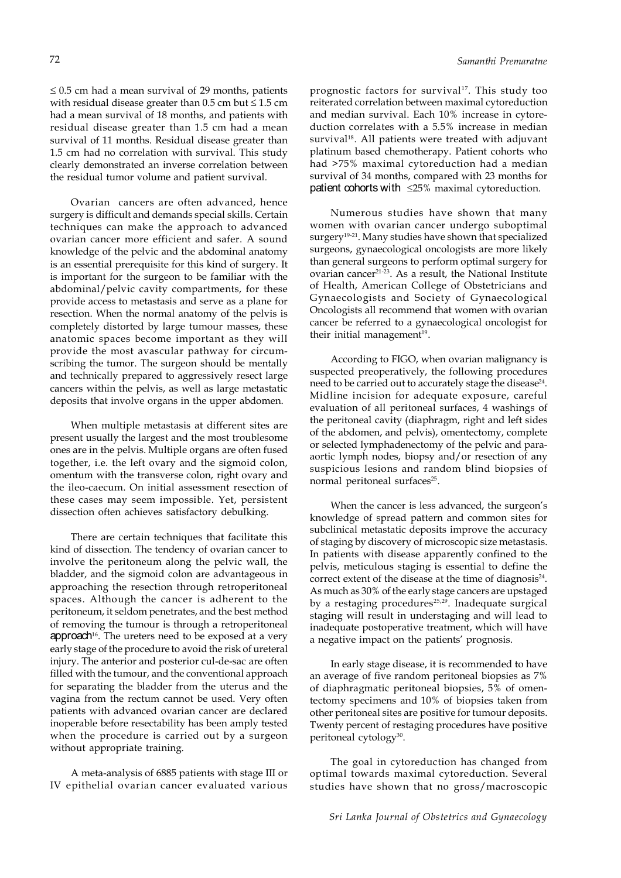$\leq$  0.5 cm had a mean survival of 29 months, patients with residual disease greater than  $0.5$  cm but  $\leq 1.5$  cm had a mean survival of 18 months, and patients with residual disease greater than 1.5 cm had a mean survival of 11 months. Residual disease greater than 1.5 cm had no correlation with survival. This study clearly demonstrated an inverse correlation between the residual tumor volume and patient survival.

Ovarian cancers are often advanced, hence surgery is difficult and demands special skills. Certain techniques can make the approach to advanced ovarian cancer more efficient and safer. A sound knowledge of the pelvic and the abdominal anatomy is an essential prerequisite for this kind of surgery. It is important for the surgeon to be familiar with the abdominal/pelvic cavity compartments, for these provide access to metastasis and serve as a plane for resection. When the normal anatomy of the pelvis is completely distorted by large tumour masses, these anatomic spaces become important as they will provide the most avascular pathway for circumscribing the tumor. The surgeon should be mentally and technically prepared to aggressively resect large cancers within the pelvis, as well as large metastatic deposits that involve organs in the upper abdomen.

When multiple metastasis at different sites are present usually the largest and the most troublesome ones are in the pelvis. Multiple organs are often fused together, i.e. the left ovary and the sigmoid colon, omentum with the transverse colon, right ovary and the ileo-caecum. On initial assessment resection of these cases may seem impossible. Yet, persistent dissection often achieves satisfactory debulking.

There are certain techniques that facilitate this kind of dissection. The tendency of ovarian cancer to involve the peritoneum along the pelvic wall, the bladder, and the sigmoid colon are advantageous in approaching the resection through retroperitoneal spaces. Although the cancer is adherent to the peritoneum, it seldom penetrates, and the best method of removing the tumour is through a retroperitoneal approach $16$ . The ureters need to be exposed at a very early stage of the procedure to avoid the risk of ureteral injury. The anterior and posterior cul-de-sac are often filled with the tumour, and the conventional approach for separating the bladder from the uterus and the vagina from the rectum cannot be used. Very often patients with advanced ovarian cancer are declared inoperable before resectability has been amply tested when the procedure is carried out by a surgeon without appropriate training.

A meta-analysis of 6885 patients with stage III or IV epithelial ovarian cancer evaluated various prognostic factors for survival<sup>17</sup>. This study too reiterated correlation between maximal cytoreduction and median survival. Each 10% increase in cytoreduction correlates with a 5.5% increase in median survival<sup>18</sup>. All patients were treated with adjuvant platinum based chemotherapy. Patient cohorts who had >75% maximal cytoreduction had a median survival of 34 months, compared with 23 months for patient cohorts with  $\leq 25\%$  maximal cytoreduction.

Numerous studies have shown that many women with ovarian cancer undergo suboptimal surgery<sup>19-21</sup>. Many studies have shown that specialized surgeons, gynaecological oncologists are more likely than general surgeons to perform optimal surgery for ovarian cancer21-23. As a result, the National Institute of Health, American College of Obstetricians and Gynaecologists and Society of Gynaecological Oncologists all recommend that women with ovarian cancer be referred to a gynaecological oncologist for their initial management<sup>19</sup>.

According to FIGO, when ovarian malignancy is suspected preoperatively, the following procedures need to be carried out to accurately stage the disease $^{\scriptscriptstyle 24}$ . Midline incision for adequate exposure, careful evaluation of all peritoneal surfaces, 4 washings of the peritoneal cavity (diaphragm, right and left sides of the abdomen, and pelvis), omentectomy, complete or selected lymphadenectomy of the pelvic and paraaortic lymph nodes, biopsy and/or resection of any suspicious lesions and random blind biopsies of normal peritoneal surfaces<sup>25</sup>.

When the cancer is less advanced, the surgeon's knowledge of spread pattern and common sites for subclinical metastatic deposits improve the accuracy of staging by discovery of microscopic size metastasis. In patients with disease apparently confined to the pelvis, meticulous staging is essential to define the correct extent of the disease at the time of diagnosis $24$ . As much as 30% of the early stage cancers are upstaged by a restaging procedures<sup>25,29</sup>. Inadequate surgical staging will result in understaging and will lead to inadequate postoperative treatment, which will have a negative impact on the patients' prognosis.

In early stage disease, it is recommended to have an average of five random peritoneal biopsies as 7% of diaphragmatic peritoneal biopsies, 5% of omentectomy specimens and 10% of biopsies taken from other peritoneal sites are positive for tumour deposits. Twenty percent of restaging procedures have positive peritoneal cytology<sup>30</sup>.

The goal in cytoreduction has changed from optimal towards maximal cytoreduction. Several studies have shown that no gross/macroscopic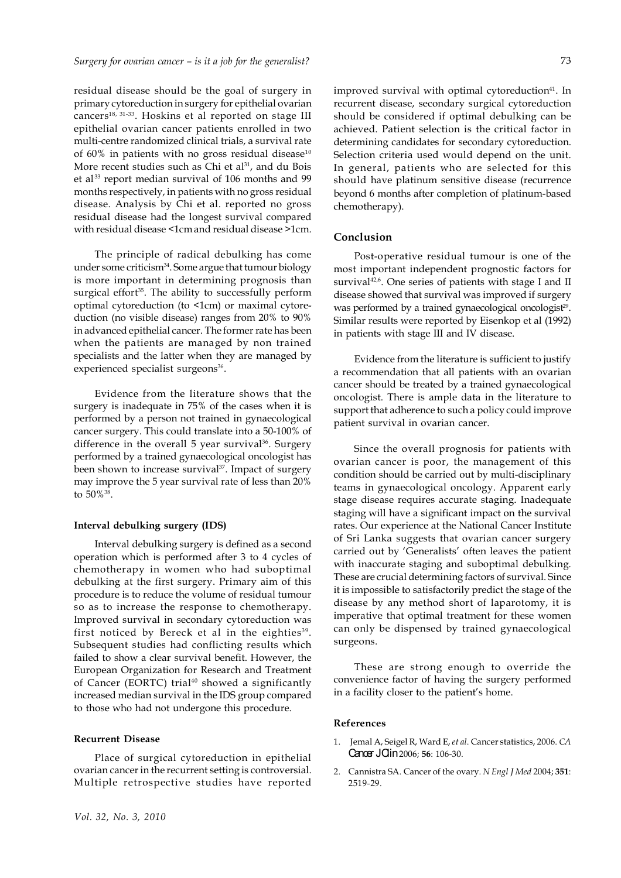residual disease should be the goal of surgery in primary cytoreduction in surgery for epithelial ovarian cancers<sup>18, 31-33</sup>. Hoskins et al reported on stage III epithelial ovarian cancer patients enrolled in two multi-centre randomized clinical trials, a survival rate of 60% in patients with no gross residual disease $10$ More recent studies such as Chi et al<sup>31</sup>, and du Bois et al <sup>33</sup> report median survival of 106 months and 99 months respectively, in patients with no gross residual disease. Analysis by Chi et al. reported no gross residual disease had the longest survival compared with residual disease <1cm and residual disease >1cm.

The principle of radical debulking has come under some criticism<sup>34</sup>. Some argue that tumour biology is more important in determining prognosis than surgical effort $35$ . The ability to successfully perform optimal cytoreduction (to <1cm) or maximal cytoreduction (no visible disease) ranges from 20% to 90% in advanced epithelial cancer. The former rate has been when the patients are managed by non trained specialists and the latter when they are managed by experienced specialist surgeons<sup>36</sup>.

Evidence from the literature shows that the surgery is inadequate in 75% of the cases when it is performed by a person not trained in gynaecological cancer surgery. This could translate into a 50-100% of difference in the overall 5 year survival<sup>36</sup>. Surgery performed by a trained gynaecological oncologist has been shown to increase survival<sup>37</sup>. Impact of surgery may improve the 5 year survival rate of less than 20% to 50%<sup>38</sup> .

#### **Interval debulking surgery (IDS)**

Interval debulking surgery is defined as a second operation which is performed after 3 to 4 cycles of chemotherapy in women who had suboptimal debulking at the first surgery. Primary aim of this procedure is to reduce the volume of residual tumour so as to increase the response to chemotherapy. Improved survival in secondary cytoreduction was first noticed by Bereck et al in the eighties<sup>39</sup>. Subsequent studies had conflicting results which failed to show a clear survival benefit. However, the European Organization for Research and Treatment of Cancer (EORTC) trial<sup>40</sup> showed a significantly increased median survival in the IDS group compared to those who had not undergone this procedure.

#### **Recurrent Disease**

Place of surgical cytoreduction in epithelial ovarian cancer in the recurrent setting is controversial. Multiple retrospective studies have reported improved survival with optimal cytoreduction<sup>41</sup>. In recurrent disease, secondary surgical cytoreduction should be considered if optimal debulking can be achieved. Patient selection is the critical factor in

determining candidates for secondary cytoreduction. Selection criteria used would depend on the unit. In general, patients who are selected for this should have platinum sensitive disease (recurrence beyond 6 months after completion of platinum-based chemotherapy).

#### **Conclusion**

Post-operative residual tumour is one of the most important independent prognostic factors for survival<sup>42,6</sup>. One series of patients with stage I and II disease showed that survival was improved if surgery was performed by a trained gynaecological oncologist<sup>29</sup>. Similar results were reported by Eisenkop et al (1992) in patients with stage III and IV disease.

Evidence from the literature is sufficient to justify a recommendation that all patients with an ovarian cancer should be treated by a trained gynaecological oncologist. There is ample data in the literature to support that adherence to such a policy could improve patient survival in ovarian cancer.

Since the overall prognosis for patients with ovarian cancer is poor, the management of this condition should be carried out by multi-disciplinary teams in gynaecological oncology. Apparent early stage disease requires accurate staging. Inadequate staging will have a significant impact on the survival rates. Our experience at the National Cancer Institute of Sri Lanka suggests that ovarian cancer surgery carried out by 'Generalists' often leaves the patient with inaccurate staging and suboptimal debulking. These are crucial determining factors of survival. Since it is impossible to satisfactorily predict the stage of the disease by any method short of laparotomy, it is imperative that optimal treatment for these women can only be dispensed by trained gynaecological surgeons.

These are strong enough to override the convenience factor of having the surgery performed in a facility closer to the patient's home.

#### **References**

- 1. Jemal A, Seigel R, Ward E, *et al*. Cancer statistics, 2006. *CA* Cancer J Clin 2006: **56**: 106-30.
- 2. Cannistra SA. Cancer of the ovary. *N Engl J Med* 2004; **351**: 2519-29.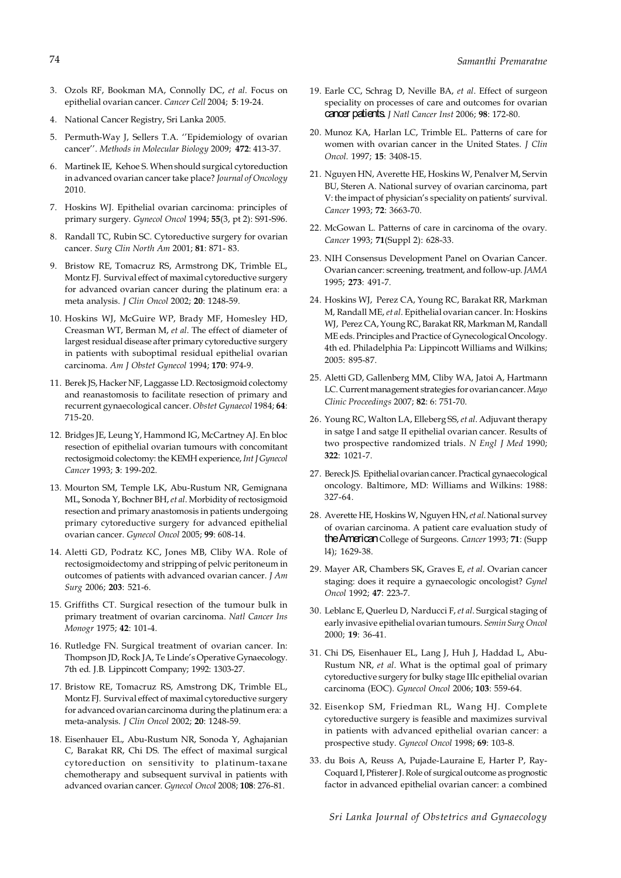- 3. Ozols RF, Bookman MA, Connolly DC, *et al*. Focus on epithelial ovarian cancer. *Cancer Cell* 2004; **5**: 19-24.
- 4. National Cancer Registry, Sri Lanka 2005.
- 5. Permuth-Way J, Sellers T.A. ''Epidemiology of ovarian cancer''. *Methods in Molecular Biology* 2009; **472**: 413-37.
- 6. Martinek IE, Kehoe S. When should surgical cytoreduction in advanced ovarian cancer take place? *Journal of Oncology* 2010.
- 7. Hoskins WJ. Epithelial ovarian carcinoma: principles of primary surgery. *Gynecol Oncol* 1994; **55**(3, pt 2): S91-S96.
- 8. Randall TC, Rubin SC. Cytoreductive surgery for ovarian cancer. *Surg Clin North Am* 2001; **81**: 871- 83.
- 9. Bristow RE, Tomacruz RS, Armstrong DK, Trimble EL, Montz FJ. Survival effect of maximal cytoreductive surgery for advanced ovarian cancer during the platinum era: a meta analysis. *J Clin Oncol* 2002; **20**: 1248-59.
- 10. Hoskins WJ, McGuire WP, Brady MF, Homesley HD, Creasman WT, Berman M, *et al*. The effect of diameter of largest residual disease after primary cytoreductive surgery in patients with suboptimal residual epithelial ovarian carcinoma. *Am J Obstet Gynecol* 1994; **170**: 974-9.
- 11. Berek JS, Hacker NF, Laggasse LD. Rectosigmoid colectomy and reanastomosis to facilitate resection of primary and recurrent gynaecological cancer. *Obstet Gynaecol* 1984; **64**: 715-20.
- 12. Bridges JE, Leung Y, Hammond IG, McCartney AJ. En bloc resection of epithelial ovarian tumours with concomitant rectosigmoid colectomy: the KEMH experience, *Int J Gynecol Cancer* 1993; **3**: 199-202.
- 13. Mourton SM, Temple LK, Abu-Rustum NR, Gemignana ML, Sonoda Y, Bochner BH, *et al*. Morbidity of rectosigmoid resection and primary anastomosis in patients undergoing primary cytoreductive surgery for advanced epithelial ovarian cancer. *Gynecol Oncol* 2005; **99**: 608-14.
- 14. Aletti GD, Podratz KC, Jones MB, Cliby WA. Role of rectosigmoidectomy and stripping of pelvic peritoneum in outcomes of patients with advanced ovarian cancer. *J Am Surg* 2006; **203**: 521-6.
- 15. Griffiths CT. Surgical resection of the tumour bulk in primary treatment of ovarian carcinoma. *Natl Cancer Ins Monogr* 1975; **42**: 101-4.
- 16. Rutledge FN. Surgical treatment of ovarian cancer. In: Thompson JD, Rock JA, Te Linde's Operative Gynaecology. 7th ed. J.B. Lippincott Company; 1992: 1303-27.
- 17. Bristow RE, Tomacruz RS, Amstrong DK, Trimble EL, Montz FJ. Survival effect of maximal cytoreductive surgery for advanced ovarian carcinoma during the platinum era: a meta-analysis. *J Clin Oncol* 2002; **20**: 1248-59.
- 18. Eisenhauer EL, Abu-Rustum NR, Sonoda Y, Aghajanian C, Barakat RR, Chi DS. The effect of maximal surgical cytoreduction on sensitivity to platinum-taxane chemotherapy and subsequent survival in patients with advanced ovarian cancer. *Gynecol Oncol* 2008; **108**: 276-81.
- 19. Earle CC, Schrag D, Neville BA, *et al*. Effect of surgeon speciality on processes of care and outcomes for ovarian cancer patients. *J Natl Cancer Inst* 2006; **98**: 172-80.
- 20. Munoz KA, Harlan LC, Trimble EL. Patterns of care for women with ovarian cancer in the United States. *J Clin Oncol.* 1997; **15**: 3408-15.
- 21. Nguyen HN, Averette HE, Hoskins W, Penalver M, Servin BU, Steren A. National survey of ovarian carcinoma, part V: the impact of physician's speciality on patients' survival. *Cancer* 1993; **72**: 3663-70.
- 22. McGowan L. Patterns of care in carcinoma of the ovary. *Cancer* 1993; **71**(Suppl 2): 628-33.
- 23. NIH Consensus Development Panel on Ovarian Cancer. Ovarian cancer: screening, treatment, and follow-up. *JAMA* 1995; **273**: 491-7.
- 24. Hoskins WJ, Perez CA, Young RC, Barakat RR, Markman M, Randall ME, *et al*. Epithelial ovarian cancer. In: Hoskins WJ, Perez CA, Young RC, Barakat RR, Markman M, Randall ME eds. Principles and Practice of Gynecological Oncology. 4th ed. Philadelphia Pa: Lippincott Williams and Wilkins; 2005: 895-87.
- 25. Aletti GD, Gallenberg MM, Cliby WA, Jatoi A, Hartmann LC. Current management strategies for ovarian cancer. *Mayo Clinic Proceedings* 2007; **82**: 6: 751-70.
- 26. Young RC, Walton LA, Elleberg SS, *et al*. Adjuvant therapy in satge I and satge II epithelial ovarian cancer. Results of two prospective randomized trials. *N Engl J Med* 1990; **322**: 1021-7.
- 27. Bereck JS. Epithelial ovarian cancer. Practical gynaecological oncology. Baltimore, MD: Williams and Wilkins: 1988: 327-64.
- 28. Averette HE, Hoskins W, Nguyen HN, *et al*. National survey of ovarian carcinoma. A patient care evaluation study of the American College of Surgeons. *Cancer* 1993; **71**: (Supp l4); 1629-38.
- 29. Mayer AR, Chambers SK, Graves E, *et al*. Ovarian cancer staging: does it require a gynaecologic oncologist? *Gynel Oncol* 1992; **47**: 223-7.
- 30. Leblanc E, Querleu D, Narducci F, *et al*. Surgical staging of early invasive epithelial ovarian tumours. *Semin Surg Oncol* 2000; **19**: 36-41.
- 31. Chi DS, Eisenhauer EL, Lang J, Huh J, Haddad L, Abu-Rustum NR, *et al*. What is the optimal goal of primary cytoreductive surgery for bulky stage IIIc epithelial ovarian carcinoma (EOC). *Gynecol Oncol* 2006; **103**: 559-64.
- 32. Eisenkop SM, Friedman RL, Wang HJ. Complete cytoreductive surgery is feasible and maximizes survival in patients with advanced epithelial ovarian cancer: a prospective study. *Gynecol Oncol* 1998; **69**: 103-8.
- 33. du Bois A, Reuss A, Pujade-Lauraine E, Harter P, Ray-Coquard I, Pfisterer J. Role of surgical outcome as prognostic factor in advanced epithelial ovarian cancer: a combined

74

*Sri Lanka Journal of Obstetrics and Gynaecology*